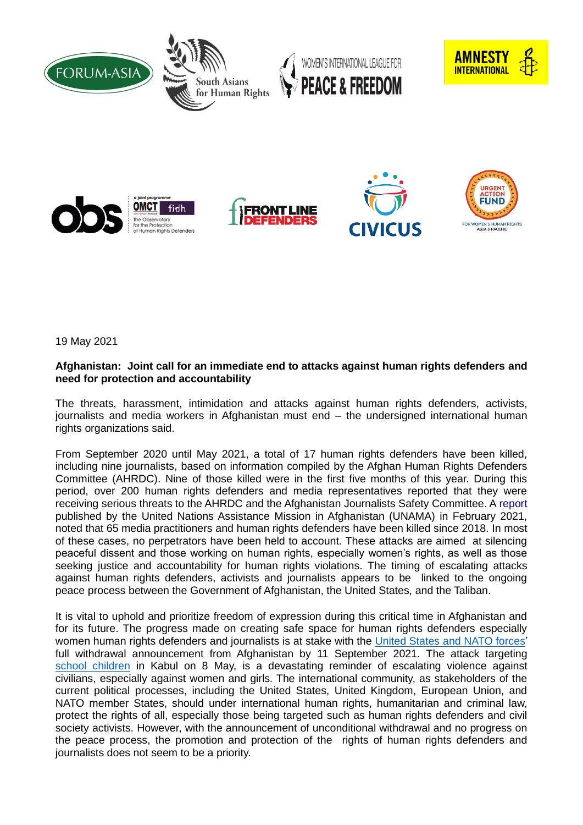

19 May 2021

## **Afghanistan: Joint call for an immediate end to attacks against human rights defenders and need for protection and accountability**

The threats, harassment, intimidation and attacks against human rights defenders, activists, journalists and media workers in Afghanistan must end – the undersigned international human rights organizations said.

From September 2020 until May 2021, a total of 17 human rights defenders have been killed, including nine journalists, based on information compiled by the Afghan Human Rights Defenders Committee (AHRDC). Nine of those killed were in the first five months of this year. During this period, over 200 human rights defenders and media representatives reported that they were receiving serious threats to the AHRDC and the Afghanistan Journalists Safety Committee. A [report](https://eur02.safelinks.protection.outlook.com/?url=https%3A%2F%2Funama.unmissions.org%2Fsites%2Fdefault%2Ffiles%2Funama_special_report_killing_of_human_rights_defenders_and_journalists_in_afghanistan_2018-2021_february_2021.pdf&data=04%7C01%7Csamira.hamidi@amnesty.org%7C6f7a7bb3f4004513573208d9193e17c9%7Cc2dbf829378d44c1b47a1c043924ddf3%7C0%7C1%7C637568576751667554%7CUnknown%7CTWFpbGZsb3d8eyJWIjoiMC4wLjAwMDAiLCJQIjoiV2luMzIiLCJBTiI6Ik1haWwiLCJXVCI6Mn0%3D%7C1000&sdata=oxZgOVRAZSCNFeRhWAi9dRSApp%2Ffhp7enMQ2SpyEYkI%3D&reserved=0) published by the United Nations Assistance Mission in Afghanistan (UNAMA) in February 2021, noted that 65 media practitioners and human rights defenders have been killed since 2018. In most of these cases, no perpetrators have been held to account. These attacks are aimed at silencing peaceful dissent and those working on human rights, especially women's rights, as well as those seeking justice and accountability for human rights violations. The timing of escalating attacks against human rights defenders, activists and journalists appears to be linked to the ongoing peace process between the Government of Afghanistan, the United States, and the Taliban.

It is vital to uphold and prioritize freedom of expression during this critical time in Afghanistan and for its future. The progress made on creating safe space for human rights defenders especially women human rights defenders and journalists is at stake with the [United States and NATO forces'](https://www.washingtonpost.com/national-security/biden-us-troop-withdrawal-afghanistan/2021/04/13/918c3cae-9beb-11eb-8a83-3bc1fa69c2e8_story.html)  full withdrawal announcement from Afghanistan by 11 September 2021. The attack targeting [school children](https://www.npr.org/2021/05/10/995402965/afghanistan-school-attack-death-toll-rises-as-do-fears-over-sending-girls-to-sch) in Kabul on 8 May, is a devastating reminder of escalating violence against civilians, especially against women and girls. The international community, as stakeholders of the current political processes, including the United States, United Kingdom, European Union, and NATO member States, should under international human rights, humanitarian and criminal law, protect the rights of all, especially those being targeted such as human rights defenders and civil society activists. However, with the announcement of unconditional withdrawal and no progress on the peace process, the promotion and protection of the rights of human rights defenders and journalists does not seem to be a priority.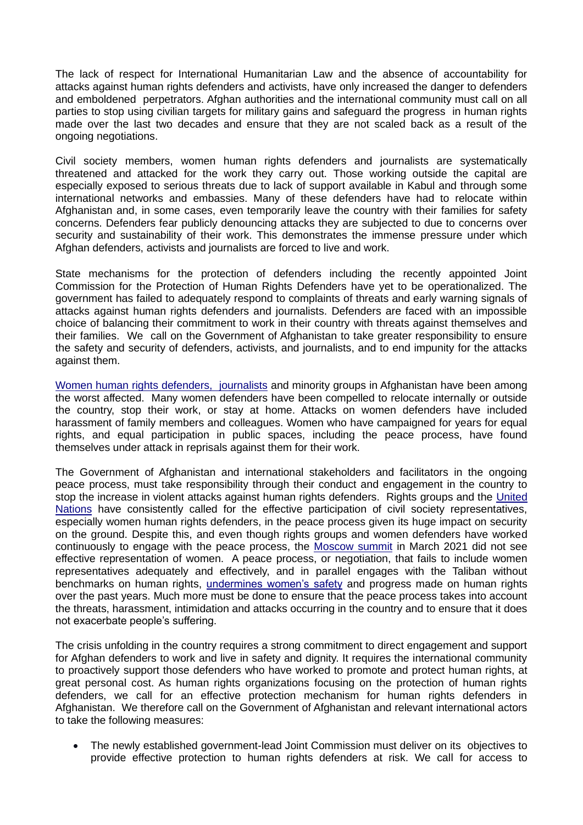The lack of respect for International Humanitarian Law and the absence of accountability for attacks against human rights defenders and activists, have only increased the danger to defenders and emboldened perpetrators. Afghan authorities and the international community must call on all parties to stop using civilian targets for military gains and safeguard the progress in human rights made over the last two decades and ensure that they are not scaled back as a result of the ongoing negotiations.

Civil society members, women human rights defenders and journalists are systematically threatened and attacked for the work they carry out. Those working outside the capital are especially exposed to serious threats due to lack of support available in Kabul and through some international networks and embassies. Many of these defenders have had to relocate within Afghanistan and, in some cases, even temporarily leave the country with their families for safety concerns. Defenders fear publicly denouncing attacks they are subjected to due to concerns over security and sustainability of their work. This demonstrates the immense pressure under which Afghan defenders, activists and journalists are forced to live and work.

State mechanisms for the protection of defenders including the recently appointed Joint Commission for the Protection of Human Rights Defenders have yet to be operationalized. The government has failed to adequately respond to complaints of threats and early warning signals of attacks against human rights defenders and journalists. Defenders are faced with an impossible choice of balancing their commitment to work in their country with threats against themselves and their families. We call on the Government of Afghanistan to take greater responsibility to ensure the safety and security of defenders, activists, and journalists, and to end impunity for the attacks against them.

[Women human rights defenders, j](https://www.omct.org/en/resources/statements/afghanistan-urgent-action-needed-to-protect-women-rights-defenders)ournalists and minority groups in Afghanistan have been among the worst affected. Many women defenders have been compelled to relocate internally or outside the country, stop their work, or stay at home. Attacks on women defenders have included harassment of family members and colleagues. Women who have campaigned for years for equal rights, and equal participation in public spaces, including the peace process, have found themselves under attack in reprisals against them for their work.

The Government of Afghanistan and international stakeholders and facilitators in the ongoing peace process, must take responsibility through their conduct and engagement in the country to stop the increase in violent attacks against human rights defenders. Rights groups and the [United](https://undocs.org/en/S/RES/1325(2000))  [Nations](https://undocs.org/en/S/RES/1325(2000)) have consistently called for the effective participation of civil society representatives, especially women human rights defenders, in the peace process given its huge impact on security on the ground. Despite this, and even though rights groups and women defenders have worked continuously to engage with the peace process, the [Moscow summit](https://www.hrw.org/news/2021/03/22/afghanistan-womens-full-participation-needed-talks) in March 2021 did not see effective representation of women. A peace process, or negotiation, that fails to include women representatives adequately and effectively, and in parallel engages with the Taliban without benchmarks on human rights, [undermines women's safety](https://tolonews.com/afghanistan-171454) and progress made on human rights over the past years. Much more must be done to ensure that the peace process takes into account the threats, harassment, intimidation and attacks occurring in the country and to ensure that it does not exacerbate people's suffering.

The crisis unfolding in the country requires a strong commitment to direct engagement and support for Afghan defenders to work and live in safety and dignity. It requires the international community to proactively support those defenders who have worked to promote and protect human rights, at great personal cost. As human rights organizations focusing on the protection of human rights defenders, we call for an effective protection mechanism for human rights defenders in Afghanistan. We therefore call on the Government of Afghanistan and relevant international actors to take the following measures:

• The newly established government-lead Joint Commission must deliver on its objectives to provide effective protection to human rights defenders at risk. We call for access to